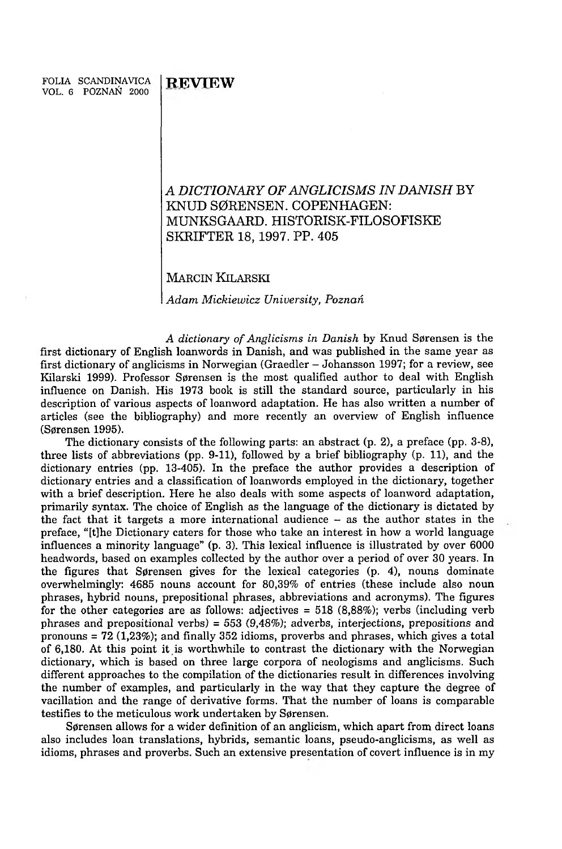## **A** *DICTIONARY OF ANGLICISMS IN DANISH* **BY KNUD S0RENSEN. COPENHAGEN: MUNKSGAARD. HISTORISK-FILOSOFISKE SKRIFTER 18, 1997. PP. 405**

## **MARCIN KILARSKI**

*A dam M ickiew icz University, Poznań*

A dictionary of Anglicisms in Danish by Knud Sørensen is the first dictionary of English loanwords in Danish, and was published in the same year as first dictionary of anglicisms in Norwegian (Graedler - Johansson 1997; for a review, see Kilarski 1999). Professor Sørensen is the most qualified author to deal with English influence on Danish. His 1973 book is still the standard source, particularly in his description of various aspects of loanword adaptation. He has also written a number of articles (see the bibliography) and more recently an overview of English influence (S0rensen 1995).

The dictionary consists of the following parts: an abstract  $(p, 2)$ , a preface  $(pp, 3-8)$ , three lists of abbreviations (pp. 9-11), followed by a brief bibliography (p. 11), and the dictionary entries (pp. 13-405). In the preface the author provides a description of dictionary entries and a classification of loanwords employed in the dictionary, together with a brief description. Here he also deals with some aspects of loanword adaptation, primarily syntax. The choice of English as the language of the dictionary is dictated by the fact that it targets a more international audience - as the author states in the preface, " [t]he Dictionary caters for those who take an interest in how a world language influences a minority language" (p. 3). This lexical influence is illustrated by over 6000 headwords, based on examples collected by the author over a period of over 30 years. In the figures that Sørensen gives for the lexical categories  $(p, 4)$ , nouns dominate overwhelmingly: 4685 nouns account for 80,39% of entries (these include also noun phrases, hybrid nouns, prepositional phrases, abbreviations and acronyms). The figures for the other categories are as follows: adjectives = 518 (8,88%); verbs (including verb phrases and prepositional verbs) = 553 (9,48%); adverbs, interjections, prepositions and pronouns = 72 (1,23%); and finally 352 idioms, proverbs and phrases, which gives a total of 6,180. At this point it is worthwhile to contrast the dictionary with the Norwegian dictionary, which is based on three large corpora of neologisms and anglicisms. Such different approaches to the compilation of the dictionaries result in differences involving the number of examples, and particularly in the way that they capture the degree of vacillation and the range of derivative forms. That the number of loans is comparable testifies to the meticulous work undertaken by Sørensen.

Sørensen allows for a wider definition of an anglicism, which apart from direct loans also includes loan translations, hybrids, semantic loans, pseudo-anglicisms, as well as idioms, phrases and proverbs. Such an extensive presentation of covert influence is in my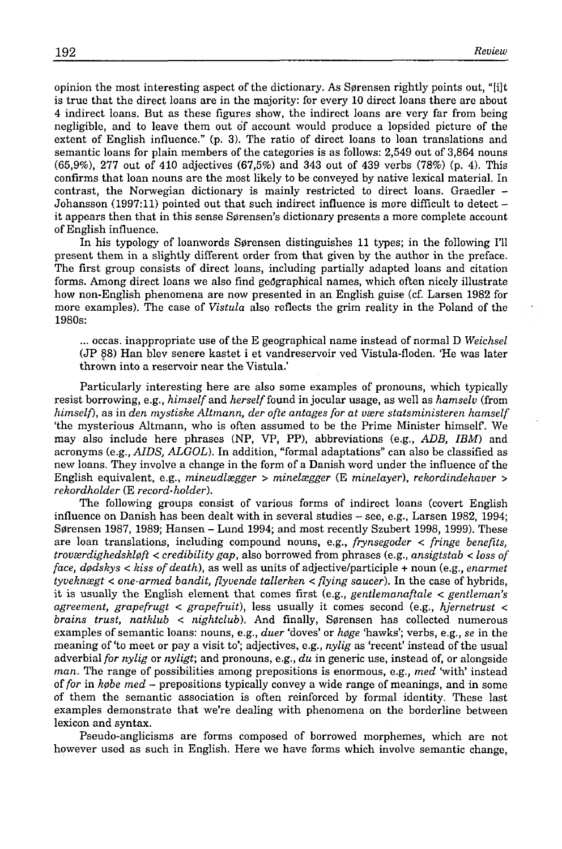opinion the most interesting aspect of the dictionary. As Sørensen rightly points out, "[i]t is true that the direct loans are in the majority: for every 10 direct loans there are about 4 indirect loans. But as these figures show, the indirect loans are very far from being negligible, and to leave them out of account would produce a lopsided picture of the extent of English influence."  $(p, 3)$ . The ratio of direct loans to loan translations and semantic loans for plain members of the categories is as follows:  $2,549$  out of  $3,864$  nouns  $(65,9\%)$ , 277 out of 410 adjectives  $(67,5\%)$  and 343 out of 439 verbs  $(78\%)$  (p. 4). This confirms that loan nouns are the most likely to be conveyed by native lexical material. In contrast, the Norwegian dictionary is mainly restricted to direct loans. Graedler -Johansson (1997:11) pointed out that such indirect influence is more difficult to detect it appears then that in this sense Sørensen's dictionary presents a more complete account of English influence.

In his typology of loanwords Sørensen distinguishes 11 types; in the following I'll present them in a slightly different order from that given by the author in the preface. The first group consists of direct loans, including partially adapted loans and citation forms. Am ong direct loans we also find geographical names, which often nicely illustrate how non-English phenomena are now presented in an English guise (cf. Larsen 1982 for more examples). The case of *Vistula* also reflects the grim reality in the Poland of the 1980s:

... occas. inappropriate use of the E geographical name instead of normal D *Weichsel* (JP 88) Han blev senere kastet i et vandreservoir ved Vistula-floden. 'He was later thrown into a reservoir near the Vistula.'

Particularly interesting here are also some examples of pronouns, which typically resist borrowing, e.g., *him self* and *herself* found in jocular usage, as well as *hamselv* (from *himself*), as in *den mystiske Altmann, der ofte antages for at være statsministeren hamself* 'the mysterious Altmann, who is often assumed to be the Prime Minister him self. We may also include here phrases (NP, VP, PP), abbreviations (e.g., *ADB, IBM)* and acronyms (e.g., *AIDS, ALGOL).* In addition, "formal adaptations" can also be classified as new loans. They involve a change in the form of a Danish word under the influence of the English equivalent, e.g., *mineudlsegger > minelsegger* (E *minelayer), rekordindehaver > rekordholder* (E *record-holder).*

The following groups consist of various forms of indirect loans (covert English influence on Danish has been dealt with in several studies - see, e.g., Larsen 1982, 1994; Sørensen 1987, 1989; Hansen – Lund 1994; and most recently Szubert 1998, 1999). These are loan translations, including compound nouns, e.g., *frynsegoder < fringe benefits, troværdighedskløft < credibility gap*, also borrowed from phrases (e.g., *ansigtstab < loss of face, dodskys < kiss of death*), as well as units of adjective/participle + noun (e.g., *enarmet tyveknsegt < one-armed bandit, flyvende tallerken < flying saucer).* In the case of hybrids, it is usually the English element that comes first (e.g., *gentlemanaftale < gentleman's agreement, grapefrugt < grapefruit),* less usually it comes second (e.g., *hjernetrust < brains trust, natklub < nightclub*). And finally, Sørensen has collected numerous examples of semantic loans: nouns, e.g., *duer* 'doves' or *høge* 'hawks'; verbs, e.g., *se* in the meaning of 'to meet or pay a visit to'; adjectives, e.g., *nylig* as 'recent' instead of the usual adverbial *for nylig* or *nyligt;* and pronouns, e.g., *du* in generic use, instead of, or alongside *man*. The range of possibilities among prepositions is enormous, e.g., *med 'with'* instead of *for* in *k* $\phi$ *be med* – prepositions typically convey a wide range of meanings, and in some of them the semantic association is often reinforced by formal identity. These last examples demonstrate that we're dealing with phenomena on the borderline between lexicon and syntax.

Pseudo-anglicisms are forms composed of borrowed morphemes, which are not however used as such in English. Here we have forms which involve semantic change,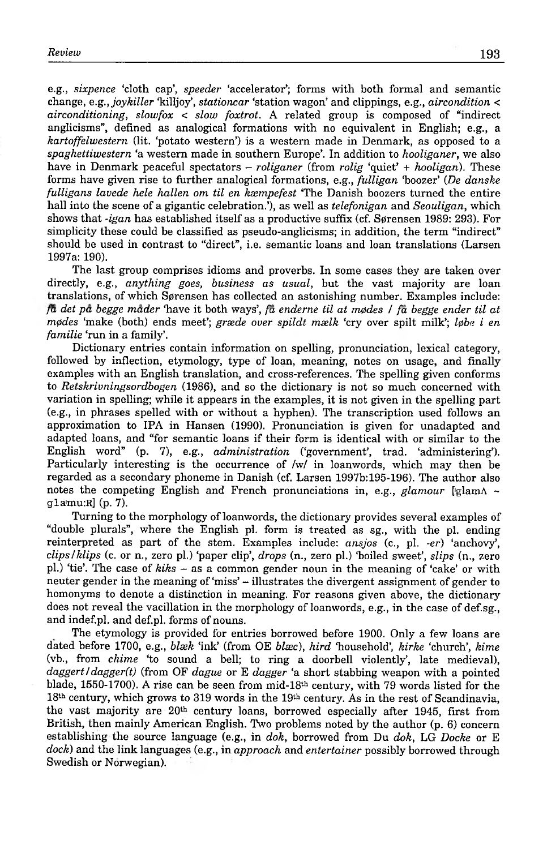e.g., *sixpence* 'cloth cap', *speeder* 'accelerator'; forms with both formal and semantic change, e.g*.,joykiller* 'killjoy', *stationcar* 'station wagon' and clippings, e.g., *aircondition <*  $airconditioning, slowfox < slow fourth$ . A related group is composed of "indirect" anglicisms", defined as analogical formations with no equivalent in English; e.g., a *kartoffelwestern* (lit. 'potato western') is a western made in Denmark, as opposed to a *spaghettiwestern* 'a western made in southern Europe'. In addition to *hooliganer,* we also have in Denmark peaceful spectators - *roliganer* (from *rolig* 'quiet' + *hooligan).* These forms have given rise to further analogical formations, e.g., *fulligan* 'boozer' (*De danske fulligans lavede hele hallen om til en ksempefest* 'The Danish boozers turned the entire hall into the scene of a gigantic celebration.'), as well as *telefonigan* and *Seouligan*, which shows that *-igan* has established itself as a productive suffix (cf. Sørensen 1989: 293). For simplicity these could be classified as pseudo-anglicisms; in addition, the term "indirect" should be used in contrast to "direct", i.e. semantic loans and loan translations (Larsen 1997a: 190).

The last group comprises idioms and proverbs. In some cases they are taken over directly, e.g., *anything goes, business as usual,* but the vast majority are loan translations, of which Sørensen has collected an astonishing number. Examples include: *fa det pa begge mader* 'have it both ways', *fa enderne til at mpdes* / *fa begge ender til at m0des* 'make (both) ends meet'; *grsede over spildt mselk* 'cry over spilt milk'; *l0be i en familie* 'run in a family'.

Dictionary entries contain information on spelling, pronunciation, lexical category, followed by inflection, etymology, type of loan, meaning, notes on usage, and finally examples with an English translation, and cross-references. The spelling given conforms to *Retskrivningsordbogen* (1986), and so the dictionary is not so much concerned with variation in spelling; while it appears in the examples, it is not given in the spelling part (e.g., in phrases spelled with or without a hyphen). The transcription used follows an approximation to IPA in Hansen (1990). Pronunciation is given for unadapted and adapted loans, and "for semantic loans if their form is identical with or similar to the English word" (p. 7), e.g., *administration* ('government', trad, 'administering'). Particularly interesting is the occurrence of /w/ in loanwords, which may then be regarded as a secondary phoneme in Danish (cf. Larsen 1997b: 195-196). The author also notes the competing English and French pronunciations in, e.g., *glamour* ['glam A ~ gla'mu:R] (p. 7).

Turning to the morphology of loanwords, the dictionary provides several examples of "double plurals", where the English pi. form is treated as sg., with the pi. ending reinterpreted as part of the stem. Examples include: ansjos (c., pl. *-er*) 'anchovy', *clips I klips* (c. or n., zero pi.) 'paper clip', *drops* (n., zero pi.) 'boiled sweet', *slips* (n., zero pl.) 'tie'. The case of *kiks* – as a common gender noun in the meaning of 'cake' or with neuter gender in the meaning of 'miss' - illustrates the divergent assignment of gender to homonyms to denote a distinction in meaning. For reasons given above, the dictionary does not reveal the vacillation in the morphology of loanwords, e.g., in the case of def.sg., and indef.pl. and def.pl. forms of nouns.

The etymology is provided for entries borrowed before 1900. Only a few loans are dated before 1700, e.g., *blæk* 'ink' (from OE *blæc*), *hird* 'household', *kirke* 'church', *kime* (vb., from *chime* 'to sound a bell; to ring a doorbell violently, late medieval), *daggert* / *dagger(t)* (from OF *dague* or E *dagger* 'a short stabbing weapon with a pointed blade, 1550-1700). A rise can be seen from mid-18<sup>th</sup> century, with 79 words listed for the  $18<sup>th</sup>$  century, which grows to 319 words in the 19<sup>th</sup> century. As in the rest of Scandinavia, the vast majority are 20th century loans, borrowed especially after 1945, first from British, then mainly American English. Two problems noted by the author (p. 6) concern establishing the source language (e.g., in *dok,* borrowed from Du *dok,* LG *Docke* or E *dock)* and the link languages (e.g., in *approach* and *entertainer* possibly borrowed through Swedish or Norwegian).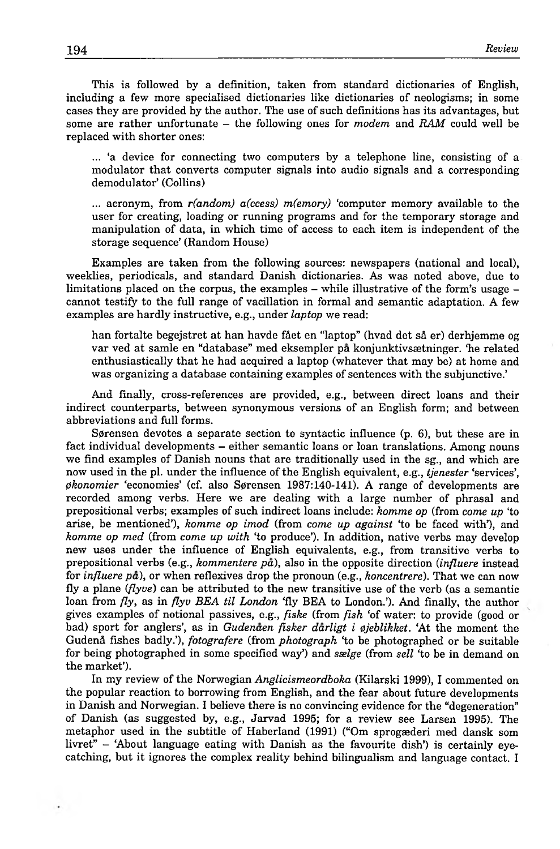This is followed by a definition, taken from standard dictionaries of English, including a few more specialised dictionaries like dictionaries of neologisms; in some cases they are provided by the author. The use of such definitions has its advantages, but some are rather unfortunate - the following ones for *modem* and *RAM* could well be replaced with shorter ones:

... 'a device for connecting two computers by a telephone line, consisting of a modulator that converts computer signals into audio signals and a corresponding dem odulator' (Collins)

... acronym, from *r(andom) a(ccess) m(emory)* 'computer memory available to the user for creating, loading or running programs and for the temporary storage and manipulation of data, in which time of access to each item is independent of the storage sequence' (Random House)

Examples are taken from the following sources: newspapers (national and local), weeklies, periodicals, and standard Danish dictionaries. As was noted above, due to limitations placed on the corpus, the examples  $-$  while illustrative of the form's usage  $$ cannot testify to the full range of vacillation in formal and semantic adaptation. A few examples are hardly instructive, e.g., under *laptop* we read:

han fortalte begejstret at han havde fået en "laptop" (hvad det så er) derhjemme og var ved at samle en "database" med eksempler pa konjunktivssetninger. "he related enthusiastically that he had acquired a laptop (whatever that may be) at home and was organizing a database containing examples of sentences with the subjunctive.'

And finally, cross-references are provided, e.g., between direct loans and their indirect counterparts, between synonymous versions of an English form; and between abbreviations and full forms.

Sørensen devotes a separate section to syntactic influence  $(p, 6)$ , but these are in fact individual developments - either semantic loans or loan translations. Among nouns we find examples of Danish nouns that are traditionally used in the sg., and which are now used in the pl. under the influence of the English equivalent, e.g., *tjenester* 'services', *pkonomier* 'economies' (cf. also Sørensen 1987:140-141). A range of developments are recorded am ong verbs. Here we are dealing with a large number of phrasal and prepositional verbs; examples of such indirect loans include: *komme op* (from *come up* 'to arise, be mentioned'), *komme op imod* (from *come up against* 'to be faced with'), and *komme op med* (from *come up with* 'to produce'). In addition, native verbs may develop new uses under the influence of English equivalents, e.g., from transitive verbs to prepositional verbs (e.g., *kommentere pa),* also in the opposite direction *(influere* instead for *influere pa),* or when reflexives drop the pronoun (e.g., *koncentrere).* That we can now fly a plane *(flyve)* can be attributed to the new transitive use of the verb (as a semantic loan from *fly,* as in *flyv BEA til London* 'fly BEA to London.'). And finally, the author gives examples of notional passives, e.g., *fiske* (from *fish* 'of water: to provide (good or bad) sport for anglers', as in *Gudenaen fisker darligt i 0jeblikket.* 'At the moment the G udeni fishes badly.'), *fotografere* (from *photograph* 'to be photographed or be suitable for being photographed in some specified way') and *sselge* (from *sell* 'to be in demand on the market').

In my review of the Norwegian *Anglicismeordboka* (Kilarski 1999), I commented on the popular reaction to borrowing from English, and the fear about future developments in Danish and Norwegian. I believe there is no convincing evidence for the "degeneration" o f Danish (as suggested by, e.g., Jarvad 1995; for a review see Larsen 1995). The metaphor used in the subtitle of Haberland (1991) ("Om sprogæderi med dansk som livret" - 'About language eating with Danish as the favourite dish') is certainly eyecatching, but it ignores the complex reality behind bilingualism and language contact. I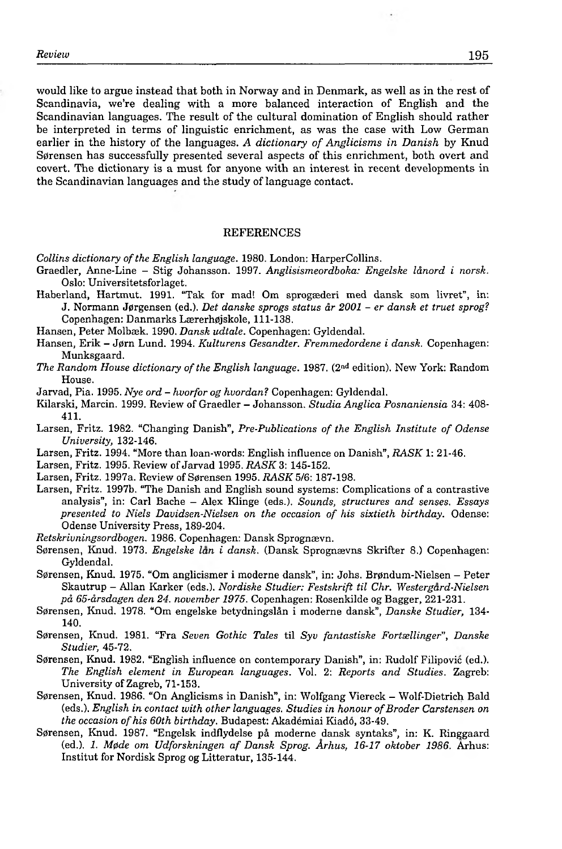would like to argue instead that both in Norway and in Denmark, as well as in the rest of Scandinavia, we're dealing with a more balanced interaction of English and the Scandinavian languages. The result of the cultural domination of English should rather be interpreted in terms of linguistic enrichment, as was the case with Low German earlier in the history of the languages. A dictionary of Anglicisms in Danish by Knud Sørensen has successfully presented several aspects of this enrichment, both overt and covert. The dictionary is a must for anyone with an interest in recent developments in the Scandinavian languages and the study of language contact.

## **REFERENCES**

*Collins dictionary of the English language.* 1980. London: HarperCollins.

- Graedler, Anne-Line Stig Johansson. 1997. *Anglisismeordboka: Engelske länord i norsk.* Oslo: Universitetsforlaget.
- Haberland, Hartmut. 1991. "Tak for mad! Om sprogsederi med dansk som livret", in: J. Normann Jørgensen (ed.). *Det danske sprogs status år 2001 - er dansk et truet sprog?* Copenhagen: Danmarks Lærerhøjskole, 111-138.
- Hansen, Peter Molbæk. 1990. *Dansk udtale*. Copenhagen: Gyldendal.
- Hansen, Erik J0rn Lund. 1994. *Kulturens Gesandter. Fremmedordene i dansk.* Copenhagen: Munksgaard.
- *The Random House dictionary of the English language.* 1987. (2<sup>nd</sup> edition). New York: Random House.
- Jarvad, Pia. 1995. *Nye ord hvorfor og hvordan?* Copenhagen: Gyldendal.
- Kilarski, Marcin. 1999. Review of Graedler Johansson. *Studia Anglica Posnaniensia* 34: 408- 411.
- Larsen, Fritz. 1982. "Changing Danish", *Pre-Publications of the English Institute of Odense University,* 132-146.
- Larsen, Fritz. 1994. "More than loan-words: English influence on Danish", *RASK* 1: 21-46.
- Larsen, Fritz. 1995. Review of Jarvad 1995. *RASK* 3: 145-152.
- Larsen, Fritz. 1997a. Review of Sörensen 1995. *RASK* 5/6: 187-198.
- Larsen, Fritz. 1997b. "The Danish and English sound systems: Complications of a contrastive analysis", in: Carl Bache - Alex Klinge (eds.). *Sounds, structures and senses. Essays presented to Niels Davidsen-Nielsen on the occasion of his sixtieth birthday.* Odense: Odense University Press, 189-204.
- *Retskrivningsordbogen.* 1986. Copenhagen: Dansk Sprognaevn.
- S0rensen, Knud. 1973. *Engelske lan i dansk.* (Dansk Sprognaevns Skrifter 8.) Copenhagen: Gyldendal.
- Sørensen, Knud. 1975. "Om anglicismer i moderne dansk", in: Johs. Brøndum-Nielsen Peter Skautrup - Allan Karker (eds.). *Nordiske Studier: Festskrift til Chr. Westergard-Nielsen pä 65-ärsdagen den 24. november 1975.* Copenhagen: Rosenkilde og Bagger, 221-231.
- S0rensen, Knud. 1978. "Om engelske betydningslän i moderne dansk", *Danske Studier,* 134- 140.
- S0rensen, Knud. 1981. "Fra *Seven Gothic Tales* til *Syv fantastiske Fortsellinger", Danske Studier,* 45-72.
- Sørensen, Knud. 1982. "English influence on contemporary Danish", in: Rudolf Filipović (ed.). *The English element in European languages.* Vol. 2: *Reports and Studies.* Zagreb: University of Zagreb, 71-153.
- Sørensen, Knud. 1986. "On Anglicisms in Danish", in: Wolfgang Viereck Wolf-Dietrich Bald (eds.). *English in contact with other languages. Studies in honour ofBroder Carstensen on* the occasion of his 60th birthday. Budapest: Akadémiai Kiadó, 33-49.
- Sørensen, Knud. 1987. "Engelsk indflydelse på moderne dansk syntaks", in: K. Ringgaard (ed.). 1. Møde om Udforskningen af Dansk Sprog. Århus, 16-17 oktober 1986. Århus: Institut for Nordisk Sprog og Litteratur, 135-144.